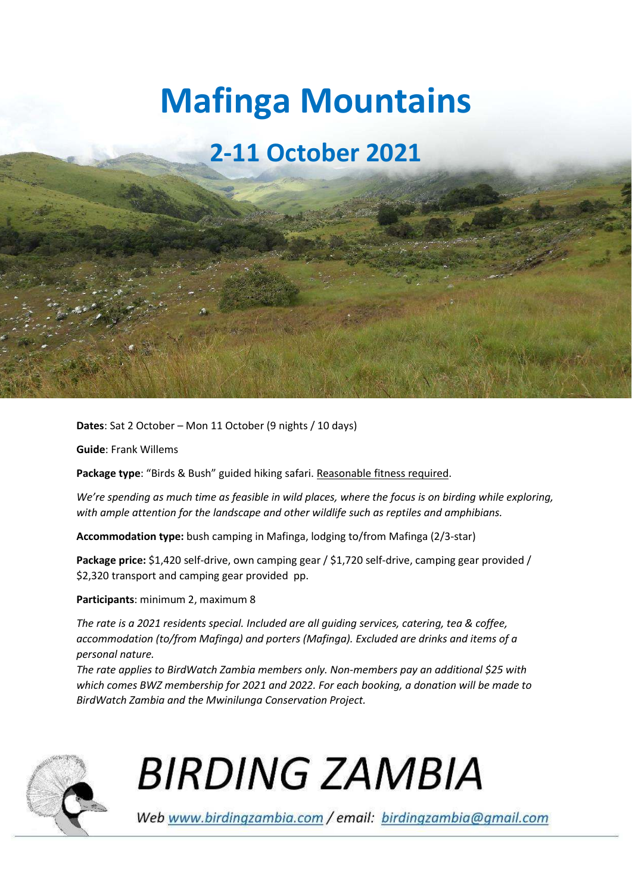# **Mafinga Mountains**

# **2-11 October 2021**

**Dates**: Sat 2 October – Mon 11 October (9 nights / 10 days)

**Guide**: Frank Willems

**Package type**: "Birds & Bush" guided hiking safari. Reasonable fitness required.

*We're spending as much time as feasible in wild places, where the focus is on birding while exploring, with ample attention for the landscape and other wildlife such as reptiles and amphibians.* 

**Accommodation type:** bush camping in Mafinga, lodging to/from Mafinga (2/3-star)

**Package price:** \$1,420 self-drive, own camping gear / \$1,720 self-drive, camping gear provided / \$2,320 transport and camping gear provided pp.

# **Participants**: minimum 2, maximum 8

*The rate is a 2021 residents special. Included are all guiding services, catering, tea & coffee, accommodation (to/from Mafinga) and porters (Mafinga). Excluded are drinks and items of a personal nature.* 

*The rate applies to BirdWatch Zambia members only. Non-members pay an additional \$25 with which comes BWZ membership for 2021 and 2022. For each booking, a donation will be made to BirdWatch Zambia and the Mwinilunga Conservation Project.* 



**BIRDING ZAMBIA** 

Web www.birdingzambia.com / email: birdingzambia@gmail.com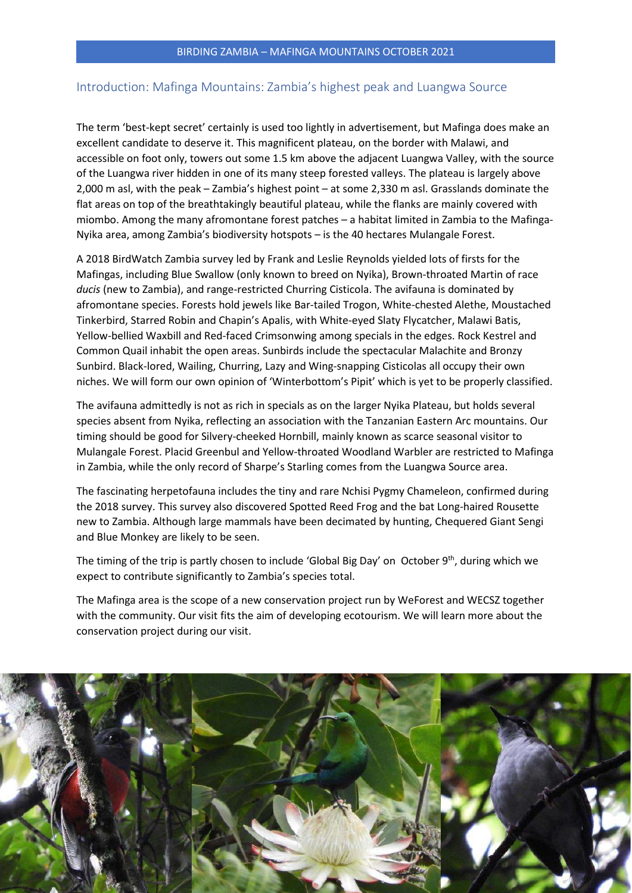# Introduction: Mafinga Mountains: Zambia's highest peak and Luangwa Source

The term 'best-kept secret' certainly is used too lightly in advertisement, but Mafinga does make an excellent candidate to deserve it. This magnificent plateau, on the border with Malawi, and accessible on foot only, towers out some 1.5 km above the adjacent Luangwa Valley, with the source of the Luangwa river hidden in one of its many steep forested valleys. The plateau is largely above 2,000 m asl, with the peak – Zambia's highest point – at some 2,330 m asl. Grasslands dominate the flat areas on top of the breathtakingly beautiful plateau, while the flanks are mainly covered with miombo. Among the many afromontane forest patches – a habitat limited in Zambia to the Mafinga-Nyika area, among Zambia's biodiversity hotspots – is the 40 hectares Mulangale Forest.

A 2018 BirdWatch Zambia survey led by Frank and Leslie Reynolds yielded lots of firsts for the Mafingas, including Blue Swallow (only known to breed on Nyika), Brown-throated Martin of race *ducis* (new to Zambia), and range-restricted Churring Cisticola. The avifauna is dominated by afromontane species. Forests hold jewels like Bar-tailed Trogon, White-chested Alethe, Moustached Tinkerbird, Starred Robin and Chapin's Apalis, with White-eyed Slaty Flycatcher, Malawi Batis, Yellow-bellied Waxbill and Red-faced Crimsonwing among specials in the edges. Rock Kestrel and Common Quail inhabit the open areas. Sunbirds include the spectacular Malachite and Bronzy Sunbird. Black-lored, Wailing, Churring, Lazy and Wing-snapping Cisticolas all occupy their own niches. We will form our own opinion of 'Winterbottom's Pipit' which is yet to be properly classified.

The avifauna admittedly is not as rich in specials as on the larger Nyika Plateau, but holds several species absent from Nyika, reflecting an association with the Tanzanian Eastern Arc mountains. Our timing should be good for Silvery-cheeked Hornbill, mainly known as scarce seasonal visitor to Mulangale Forest. Placid Greenbul and Yellow-throated Woodland Warbler are restricted to Mafinga in Zambia, while the only record of Sharpe's Starling comes from the Luangwa Source area.

The fascinating herpetofauna includes the tiny and rare Nchisi Pygmy Chameleon, confirmed during the 2018 survey. This survey also discovered Spotted Reed Frog and the bat Long-haired Rousette new to Zambia. Although large mammals have been decimated by hunting, Chequered Giant Sengi and Blue Monkey are likely to be seen.

The timing of the trip is partly chosen to include 'Global Big Day' on October 9<sup>th</sup>, during which we expect to contribute significantly to Zambia's species total.

The Mafinga area is the scope of a new conservation project run by WeForest and WECSZ together with the community. Our visit fits the aim of developing ecotourism. We will learn more about the conservation project during our visit.

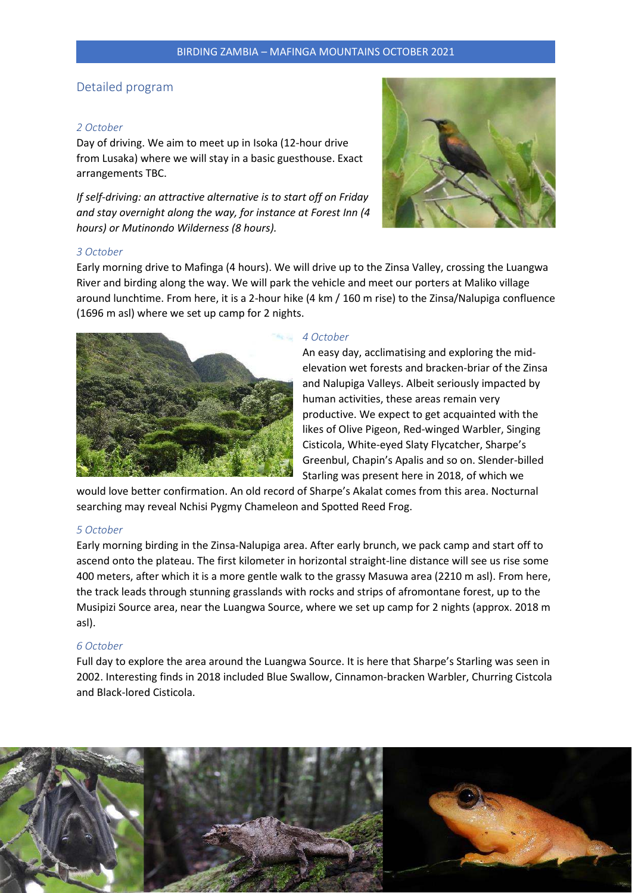# Detailed program

#### *2 October*

Day of driving. We aim to meet up in Isoka (12-hour drive from Lusaka) where we will stay in a basic guesthouse. Exact arrangements TBC.

*If self-driving: an attractive alternative is to start off on Friday and stay overnight along the way, for instance at Forest Inn (4 hours) or Mutinondo Wilderness (8 hours).* 



#### *3 October*

Early morning drive to Mafinga (4 hours). We will drive up to the Zinsa Valley, crossing the Luangwa River and birding along the way. We will park the vehicle and meet our porters at Maliko village around lunchtime. From here, it is a 2-hour hike (4 km / 160 m rise) to the Zinsa/Nalupiga confluence (1696 m asl) where we set up camp for 2 nights.



#### *4 October*

An easy day, acclimatising and exploring the midelevation wet forests and bracken-briar of the Zinsa and Nalupiga Valleys. Albeit seriously impacted by human activities, these areas remain very productive. We expect to get acquainted with the likes of Olive Pigeon, Red-winged Warbler, Singing Cisticola, White-eyed Slaty Flycatcher, Sharpe's Greenbul, Chapin's Apalis and so on. Slender-billed Starling was present here in 2018, of which we

would love better confirmation. An old record of Sharpe's Akalat comes from this area. Nocturnal searching may reveal Nchisi Pygmy Chameleon and Spotted Reed Frog.

# *5 October*

Early morning birding in the Zinsa-Nalupiga area. After early brunch, we pack camp and start off to ascend onto the plateau. The first kilometer in horizontal straight-line distance will see us rise some 400 meters, after which it is a more gentle walk to the grassy Masuwa area (2210 m asl). From here, the track leads through stunning grasslands with rocks and strips of afromontane forest, up to the Musipizi Source area, near the Luangwa Source, where we set up camp for 2 nights (approx. 2018 m asl).

## *6 October*

Full day to explore the area around the Luangwa Source. It is here that Sharpe's Starling was seen in 2002. Interesting finds in 2018 included Blue Swallow, Cinnamon-bracken Warbler, Churring Cistcola and Black-lored Cisticola.

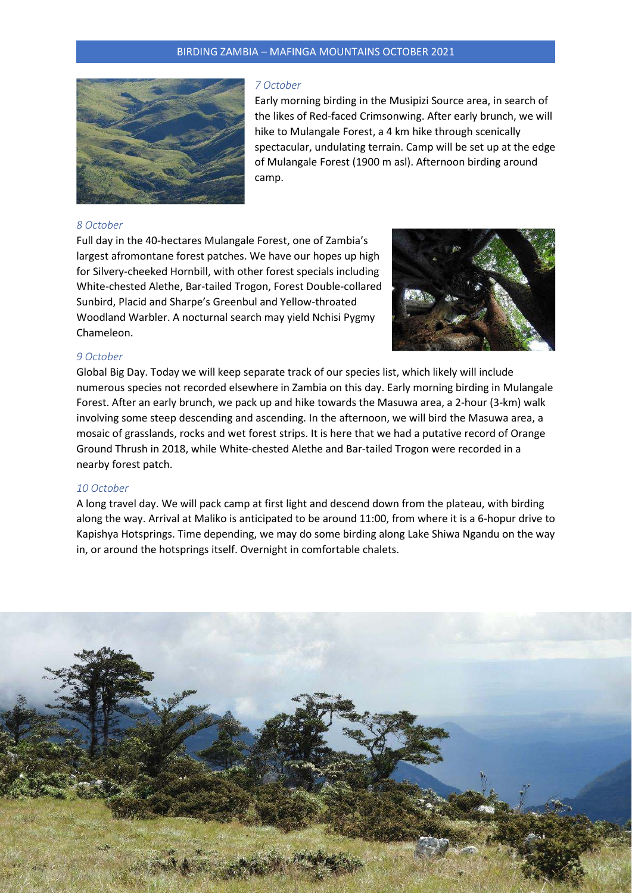# BIRDING ZAMBIA – MAFINGA MOUNTAINS OCTOBER 2021



#### *7 October*

Early morning birding in the Musipizi Source area, in search of the likes of Red-faced Crimsonwing. After early brunch, we will hike to Mulangale Forest, a 4 km hike through scenically spectacular, undulating terrain. Camp will be set up at the edge of Mulangale Forest (1900 m asl). Afternoon birding around camp.

#### *8 October*

Full day in the 40-hectares Mulangale Forest, one of Zambia's largest afromontane forest patches. We have our hopes up high for Silvery-cheeked Hornbill, with other forest specials including White-chested Alethe, Bar-tailed Trogon, Forest Double-collared Sunbird, Placid and Sharpe's Greenbul and Yellow-throated Woodland Warbler. A nocturnal search may yield Nchisi Pygmy Chameleon.



# *9 October*

Global Big Day. Today we will keep separate track of our species list, which likely will include numerous species not recorded elsewhere in Zambia on this day. Early morning birding in Mulangale Forest. After an early brunch, we pack up and hike towards the Masuwa area, a 2-hour (3-km) walk involving some steep descending and ascending. In the afternoon, we will bird the Masuwa area, a mosaic of grasslands, rocks and wet forest strips. It is here that we had a putative record of Orange Ground Thrush in 2018, while White-chested Alethe and Bar-tailed Trogon were recorded in a nearby forest patch.

#### *10 October*

A long travel day. We will pack camp at first light and descend down from the plateau, with birding along the way. Arrival at Maliko is anticipated to be around 11:00, from where it is a 6-hopur drive to Kapishya Hotsprings. Time depending, we may do some birding along Lake Shiwa Ngandu on the way in, or around the hotsprings itself. Overnight in comfortable chalets.